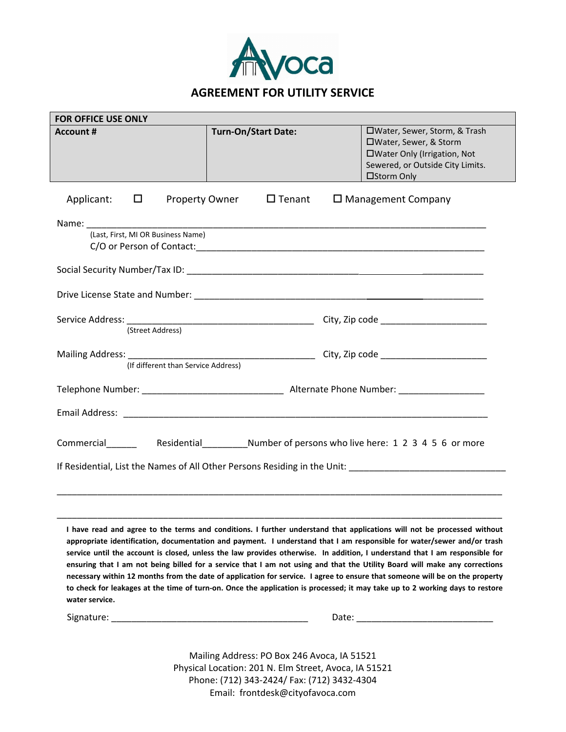

| <b>FOR OFFICE USE ONLY</b>             |                            |                                                                                                                                                                                                                                                                                                                                                                     |  |
|----------------------------------------|----------------------------|---------------------------------------------------------------------------------------------------------------------------------------------------------------------------------------------------------------------------------------------------------------------------------------------------------------------------------------------------------------------|--|
| <b>Account #</b>                       | <b>Turn-On/Start Date:</b> | □Water, Sewer, Storm, & Trash<br>□Water, Sewer, & Storm<br>□Water Only (Irrigation, Not<br>Sewered, or Outside City Limits.<br><b>Example 19 District Street Street 19 District Street Street 19 District Street Street 19 District Street 19 District Street 19 District Street 19 District Street 19 District Street 19 District Street 19 District Street 19</b> |  |
| Applicant:<br>$\Box$<br>Property Owner | $\Box$ Tenant              | $\Box$ Management Company                                                                                                                                                                                                                                                                                                                                           |  |
|                                        |                            |                                                                                                                                                                                                                                                                                                                                                                     |  |
| (Last, First, MI OR Business Name)     |                            |                                                                                                                                                                                                                                                                                                                                                                     |  |
|                                        |                            |                                                                                                                                                                                                                                                                                                                                                                     |  |
|                                        |                            |                                                                                                                                                                                                                                                                                                                                                                     |  |
|                                        |                            |                                                                                                                                                                                                                                                                                                                                                                     |  |
|                                        |                            |                                                                                                                                                                                                                                                                                                                                                                     |  |
|                                        |                            |                                                                                                                                                                                                                                                                                                                                                                     |  |
|                                        |                            |                                                                                                                                                                                                                                                                                                                                                                     |  |
| (If different than Service Address)    |                            |                                                                                                                                                                                                                                                                                                                                                                     |  |
|                                        |                            |                                                                                                                                                                                                                                                                                                                                                                     |  |
|                                        |                            |                                                                                                                                                                                                                                                                                                                                                                     |  |
|                                        |                            |                                                                                                                                                                                                                                                                                                                                                                     |  |
|                                        |                            |                                                                                                                                                                                                                                                                                                                                                                     |  |
|                                        |                            |                                                                                                                                                                                                                                                                                                                                                                     |  |
|                                        |                            |                                                                                                                                                                                                                                                                                                                                                                     |  |
|                                        |                            |                                                                                                                                                                                                                                                                                                                                                                     |  |
|                                        |                            |                                                                                                                                                                                                                                                                                                                                                                     |  |

**I have read and agree to the terms and conditions. I further understand that applications will not be processed without appropriate identification, documentation and payment. I understand that I am responsible for water/sewer and/or trash service until the account is closed, unless the law provides otherwise. In addition, I understand that I am responsible for ensuring that I am not being billed for a service that I am not using and that the Utility Board will make any corrections necessary within 12 months from the date of application for service. I agree to ensure that someone will be on the property to check for leakages at the time of turn-on. Once the application is processed; it may take up to 2 working days to restore water service.**

\_\_\_\_\_\_\_\_\_\_\_\_\_\_\_\_\_\_\_\_\_\_\_\_\_\_\_\_\_\_\_\_\_\_\_\_\_\_\_\_\_\_\_\_\_\_\_\_\_\_\_\_\_\_\_\_\_\_\_\_\_\_\_\_\_\_\_\_\_\_\_\_\_\_\_\_\_\_\_\_\_\_\_\_\_\_\_\_

Signature: \_\_\_\_\_\_\_\_\_\_\_\_\_\_\_\_\_\_\_\_\_\_\_\_\_\_\_\_\_\_\_\_\_\_\_\_\_\_\_ Date: \_\_\_\_\_\_\_\_\_\_\_\_\_\_\_\_\_\_\_\_\_\_\_\_\_\_\_

Mailing Address: PO Box 246 Avoca, IA 51521 Physical Location: 201 N. Elm Street, Avoca, IA 51521 Phone: (712) 343‐2424/ Fax: (712) 3432‐4304 Email: frontdesk@cityofavoca.com